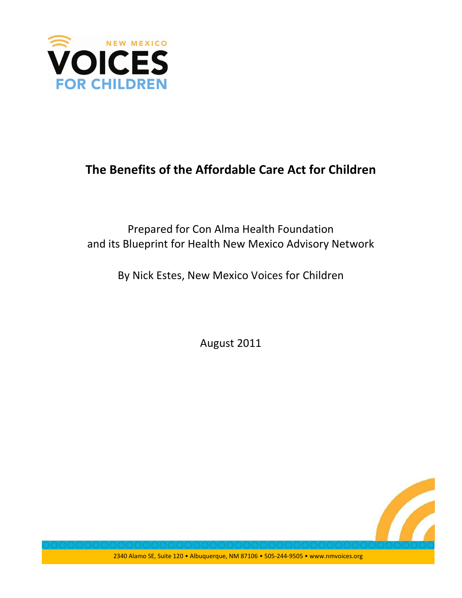

# The Benefits of the Affordable Care Act for Children

Prepared for Con Alma Health Foundation and its Blueprint for Health New Mexico Advisory Network

By Nick Estes, New Mexico Voices for Children

August 2011



2340 Alamo SE, Suite 120 · Albuquerque, NM 87106 · 505-244-9505 · www.nmvoices.org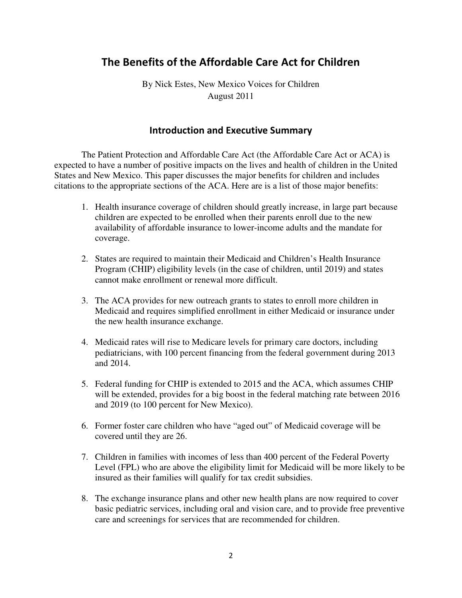# The Benefits of the Affordable Care Act for Children

By Nick Estes, New Mexico Voices for Children August 2011

### **Introduction and Executive Summary**

 The Patient Protection and Affordable Care Act (the Affordable Care Act or ACA) is expected to have a number of positive impacts on the lives and health of children in the United States and New Mexico. This paper discusses the major benefits for children and includes citations to the appropriate sections of the ACA. Here are is a list of those major benefits:

- 1. Health insurance coverage of children should greatly increase, in large part because children are expected to be enrolled when their parents enroll due to the new availability of affordable insurance to lower-income adults and the mandate for coverage.
- 2. States are required to maintain their Medicaid and Children's Health Insurance Program (CHIP) eligibility levels (in the case of children, until 2019) and states cannot make enrollment or renewal more difficult.
- 3. The ACA provides for new outreach grants to states to enroll more children in Medicaid and requires simplified enrollment in either Medicaid or insurance under the new health insurance exchange.
- 4. Medicaid rates will rise to Medicare levels for primary care doctors, including pediatricians, with 100 percent financing from the federal government during 2013 and 2014.
- 5. Federal funding for CHIP is extended to 2015 and the ACA, which assumes CHIP will be extended, provides for a big boost in the federal matching rate between 2016 and 2019 (to 100 percent for New Mexico).
- 6. Former foster care children who have "aged out" of Medicaid coverage will be covered until they are 26.
- 7. Children in families with incomes of less than 400 percent of the Federal Poverty Level (FPL) who are above the eligibility limit for Medicaid will be more likely to be insured as their families will qualify for tax credit subsidies.
- 8. The exchange insurance plans and other new health plans are now required to cover basic pediatric services, including oral and vision care, and to provide free preventive care and screenings for services that are recommended for children.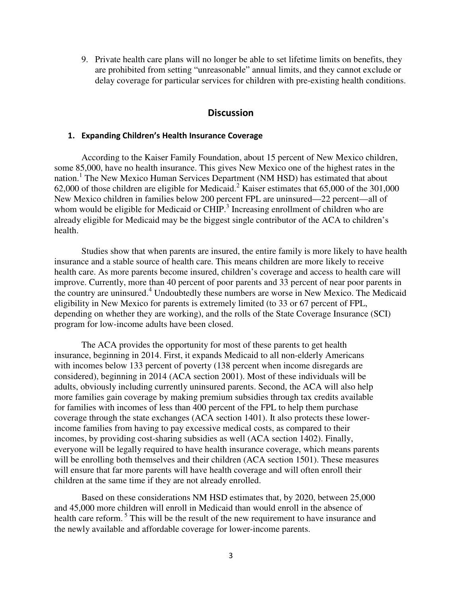9. Private health care plans will no longer be able to set lifetime limits on benefits, they are prohibited from setting "unreasonable" annual limits, and they cannot exclude or delay coverage for particular services for children with pre-existing health conditions.

### **Discussion**

#### 1. Expanding Children's Health Insurance Coverage

According to the Kaiser Family Foundation, about 15 percent of New Mexico children, some 85,000, have no health insurance. This gives New Mexico one of the highest rates in the nation.<sup>1</sup> The New Mexico Human Services Department (NM HSD) has estimated that about 62,000 of those children are eligible for Medicaid.<sup>2</sup> Kaiser estimates that 65,000 of the 301,000 New Mexico children in families below 200 percent FPL are uninsured—22 percent—all of whom would be eligible for Medicaid or  $CHIP.<sup>3</sup>$  Increasing enrollment of children who are already eligible for Medicaid may be the biggest single contributor of the ACA to children's health.

Studies show that when parents are insured, the entire family is more likely to have health insurance and a stable source of health care. This means children are more likely to receive health care. As more parents become insured, children's coverage and access to health care will improve. Currently, more than 40 percent of poor parents and 33 percent of near poor parents in the country are uninsured.<sup>4</sup> Undoubtedly these numbers are worse in New Mexico. The Medicaid eligibility in New Mexico for parents is extremely limited (to 33 or 67 percent of FPL, depending on whether they are working), and the rolls of the State Coverage Insurance (SCI) program for low-income adults have been closed.

The ACA provides the opportunity for most of these parents to get health insurance, beginning in 2014. First, it expands Medicaid to all non-elderly Americans with incomes below 133 percent of poverty (138 percent when income disregards are considered), beginning in 2014 (ACA section 2001). Most of these individuals will be adults, obviously including currently uninsured parents. Second, the ACA will also help more families gain coverage by making premium subsidies through tax credits available for families with incomes of less than 400 percent of the FPL to help them purchase coverage through the state exchanges (ACA section 1401). It also protects these lowerincome families from having to pay excessive medical costs, as compared to their incomes, by providing cost-sharing subsidies as well (ACA section 1402). Finally, everyone will be legally required to have health insurance coverage, which means parents will be enrolling both themselves and their children (ACA section 1501). These measures will ensure that far more parents will have health coverage and will often enroll their children at the same time if they are not already enrolled.

Based on these considerations NM HSD estimates that, by 2020, between 25,000 and 45,000 more children will enroll in Medicaid than would enroll in the absence of health care reform.<sup>5</sup> This will be the result of the new requirement to have insurance and the newly available and affordable coverage for lower-income parents.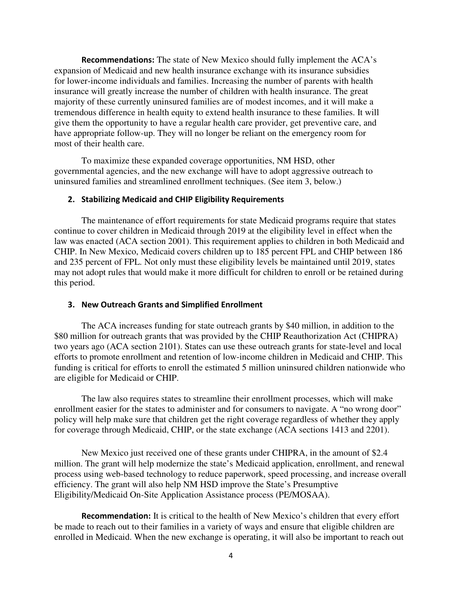**Recommendations:** The state of New Mexico should fully implement the ACA's expansion of Medicaid and new health insurance exchange with its insurance subsidies for lower-income individuals and families. Increasing the number of parents with health insurance will greatly increase the number of children with health insurance. The great majority of these currently uninsured families are of modest incomes, and it will make a tremendous difference in health equity to extend health insurance to these families. It will give them the opportunity to have a regular health care provider, get preventive care, and have appropriate follow-up. They will no longer be reliant on the emergency room for most of their health care.

To maximize these expanded coverage opportunities, NM HSD, other governmental agencies, and the new exchange will have to adopt aggressive outreach to uninsured families and streamlined enrollment techniques. (See item 3, below.)

#### 2. Stabilizing Medicaid and CHIP Eligibility Requirements

The maintenance of effort requirements for state Medicaid programs require that states continue to cover children in Medicaid through 2019 at the eligibility level in effect when the law was enacted (ACA section 2001). This requirement applies to children in both Medicaid and CHIP. In New Mexico, Medicaid covers children up to 185 percent FPL and CHIP between 186 and 235 percent of FPL. Not only must these eligibility levels be maintained until 2019, states may not adopt rules that would make it more difficult for children to enroll or be retained during this period.

#### 3. New Outreach Grants and Simplified Enrollment

The ACA increases funding for state outreach grants by \$40 million, in addition to the \$80 million for outreach grants that was provided by the CHIP Reauthorization Act (CHIPRA) two years ago (ACA section 2101). States can use these outreach grants for state-level and local efforts to promote enrollment and retention of low-income children in Medicaid and CHIP. This funding is critical for efforts to enroll the estimated 5 million uninsured children nationwide who are eligible for Medicaid or CHIP.

The law also requires states to streamline their enrollment processes, which will make enrollment easier for the states to administer and for consumers to navigate. A "no wrong door" policy will help make sure that children get the right coverage regardless of whether they apply for coverage through Medicaid, CHIP, or the state exchange (ACA sections 1413 and 2201).

New Mexico just received one of these grants under CHIPRA, in the amount of \$2.4 million. The grant will help modernize the state's Medicaid application, enrollment, and renewal process using web-based technology to reduce paperwork, speed processing, and increase overall efficiency. The grant will also help NM HSD improve the State's Presumptive Eligibility/Medicaid On-Site Application Assistance process (PE/MOSAA).

**Recommendation:** It is critical to the health of New Mexico's children that every effort be made to reach out to their families in a variety of ways and ensure that eligible children are enrolled in Medicaid. When the new exchange is operating, it will also be important to reach out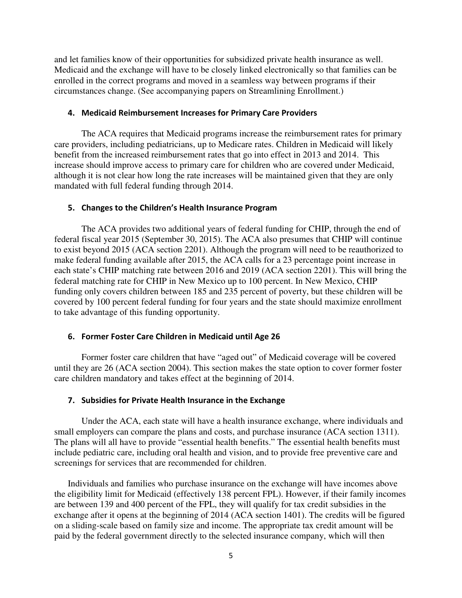and let families know of their opportunities for subsidized private health insurance as well. Medicaid and the exchange will have to be closely linked electronically so that families can be enrolled in the correct programs and moved in a seamless way between programs if their circumstances change. (See accompanying papers on Streamlining Enrollment.)

#### 4. Medicaid Reimbursement Increases for Primary Care Providers

The ACA requires that Medicaid programs increase the reimbursement rates for primary care providers, including pediatricians, up to Medicare rates. Children in Medicaid will likely benefit from the increased reimbursement rates that go into effect in 2013 and 2014. This increase should improve access to primary care for children who are covered under Medicaid, although it is not clear how long the rate increases will be maintained given that they are only mandated with full federal funding through 2014.

#### 5. Changes to the Children's Health Insurance Program

The ACA provides two additional years of federal funding for CHIP, through the end of federal fiscal year 2015 (September 30, 2015). The ACA also presumes that CHIP will continue to exist beyond 2015 (ACA section 2201). Although the program will need to be reauthorized to make federal funding available after 2015, the ACA calls for a 23 percentage point increase in each state's CHIP matching rate between 2016 and 2019 (ACA section 2201). This will bring the federal matching rate for CHIP in New Mexico up to 100 percent. In New Mexico, CHIP funding only covers children between 185 and 235 percent of poverty, but these children will be covered by 100 percent federal funding for four years and the state should maximize enrollment to take advantage of this funding opportunity.

#### 6. Former Foster Care Children in Medicaid until Age 26

Former foster care children that have "aged out" of Medicaid coverage will be covered until they are 26 (ACA section 2004). This section makes the state option to cover former foster care children mandatory and takes effect at the beginning of 2014.

#### 7. Subsidies for Private Health Insurance in the Exchange

Under the ACA, each state will have a health insurance exchange, where individuals and small employers can compare the plans and costs, and purchase insurance (ACA section 1311). The plans will all have to provide "essential health benefits." The essential health benefits must include pediatric care, including oral health and vision, and to provide free preventive care and screenings for services that are recommended for children.

Individuals and families who purchase insurance on the exchange will have incomes above the eligibility limit for Medicaid (effectively 138 percent FPL). However, if their family incomes are between 139 and 400 percent of the FPL, they will qualify for tax credit subsidies in the exchange after it opens at the beginning of 2014 (ACA section 1401). The credits will be figured on a sliding-scale based on family size and income. The appropriate tax credit amount will be paid by the federal government directly to the selected insurance company, which will then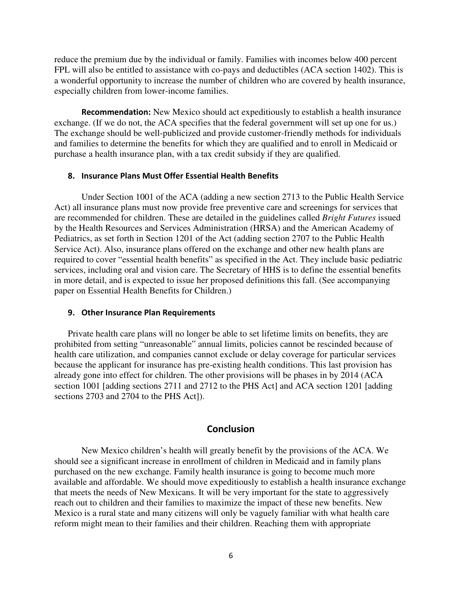reduce the premium due by the individual or family. Families with incomes below 400 percent FPL will also be entitled to assistance with co-pays and deductibles (ACA section 1402). This is a wonderful opportunity to increase the number of children who are covered by health insurance, especially children from lower-income families.

Recommendation: New Mexico should act expeditiously to establish a health insurance exchange. (If we do not, the ACA specifies that the federal government will set up one for us.) The exchange should be well-publicized and provide customer-friendly methods for individuals and families to determine the benefits for which they are qualified and to enroll in Medicaid or purchase a health insurance plan, with a tax credit subsidy if they are qualified.

#### 8. Insurance Plans Must Offer Essential Health Benefits

Under Section 1001 of the ACA (adding a new section 2713 to the Public Health Service Act) all insurance plans must now provide free preventive care and screenings for services that are recommended for children. These are detailed in the guidelines called *Bright Futures* issued by the Health Resources and Services Administration (HRSA) and the American Academy of Pediatrics, as set forth in Section 1201 of the Act (adding section 2707 to the Public Health Service Act). Also, insurance plans offered on the exchange and other new health plans are required to cover "essential health benefits" as specified in the Act. They include basic pediatric services, including oral and vision care. The Secretary of HHS is to define the essential benefits in more detail, and is expected to issue her proposed definitions this fall. (See accompanying paper on Essential Health Benefits for Children.)

#### 9. Other Insurance Plan Requirements

Private health care plans will no longer be able to set lifetime limits on benefits, they are prohibited from setting "unreasonable" annual limits, policies cannot be rescinded because of health care utilization, and companies cannot exclude or delay coverage for particular services because the applicant for insurance has pre-existing health conditions. This last provision has already gone into effect for children. The other provisions will be phases in by 2014 (ACA section 1001 [adding sections 2711 and 2712 to the PHS Act] and ACA section 1201 [adding sections 2703 and 2704 to the PHS Act]).

#### Conclusion

New Mexico children's health will greatly benefit by the provisions of the ACA. We should see a significant increase in enrollment of children in Medicaid and in family plans purchased on the new exchange. Family health insurance is going to become much more available and affordable. We should move expeditiously to establish a health insurance exchange that meets the needs of New Mexicans. It will be very important for the state to aggressively reach out to children and their families to maximize the impact of these new benefits. New Mexico is a rural state and many citizens will only be vaguely familiar with what health care reform might mean to their families and their children. Reaching them with appropriate